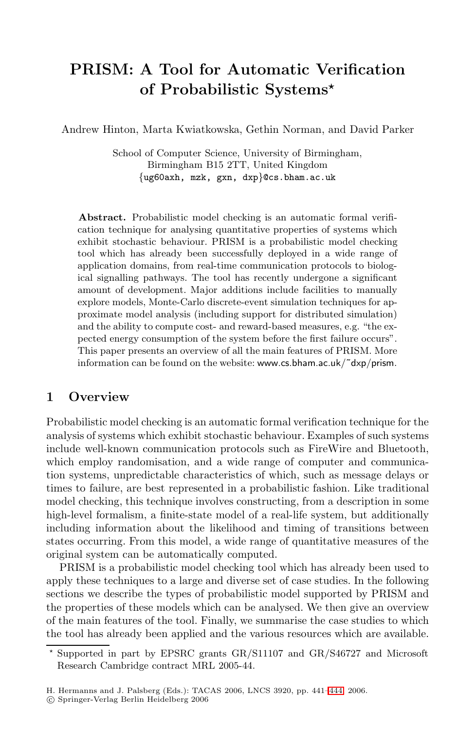# **PRISM: A Tool for Automatic Verification of Probabilistic Systems**

Andrew Hinton, Marta Kwiatkowska, Gethin Norman, and David Parker

School of Computer Science, University of Birmingham, Birmingham B15 2TT, United Kingdom {ug60axh, mzk, gxn, dxp}@cs.bham.ac.uk

**Abstract.** Probabilistic model checking is an automatic formal verification technique for analysing quantitative properties of systems which exhibit stochastic behaviour. PRISM is a probabilistic model checking tool which has already been successfully deployed in a wide range of application domains, from real-time communication protocols to biological signalling pathways. The tool has recently undergone a significant amount of development. Major additions include facilities to manually explore models, Monte-Carlo discrete-event simulation techniques for approximate model analysis (including support for distributed simulation) and the ability to compute cost- and reward-based measures, e.g. "the expected energy consumption of the system before the first failure occurs". This paper presents an overview of all the main features of PRISM. More information can be found on the website: www.cs.bham.ac.uk/˜dxp/prism.

### **1 Overview**

Probabilistic model checking is an automatic formal verification technique for the analysis of systems which exhibit stochastic behaviour. Examples of such systems include well-known communication protocols such as FireWire and Bluetooth, which employ randomisation, and a wide range of computer and communication systems, unpredictable characteristics of which, such as message delays or times to failure, are best represented in a probabilistic fashion. Like traditional model checking, this technique involves constructing, from a description in some high-level formalism, a finite-state model of a real-life system, but additionally including information about the likelihood and timing of transitions between states occurring. From this model, a wide range of quantitative measures of the original system can be automatically computed.

PRISM is a probabilistic model checking tool which has already been used to apply these techniques to a large and diverse set of case studies. In the following sections we describe the types of proba[bilis](#page-3-0)tic model supported by PRISM and the properties of these models which can be analysed. We then give an overview of the main features of the tool. Finally, we summarise the case studies to which the tool has already been applied and the various resources which are available.

Supported in part by EPSRC grants GR/S11107 and GR/S46727 and Microsoft Research Cambridge contract MRL 2005-44.

H. Hermanns and J. Palsberg (Eds.): TACAS 2006, LNCS 3920, pp. 441–444, 2006.

c Springer-Verlag Berlin Heidelberg 2006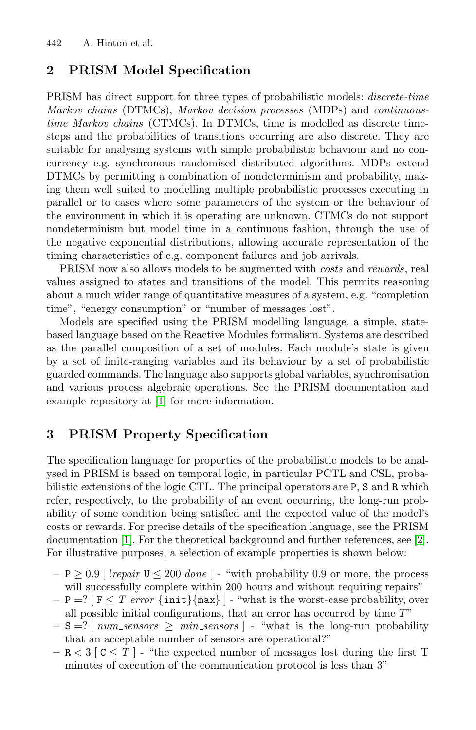442 A. Hinton et al.

# **2 PRISM Model Specification**

PRISM has direct support for three types of probabilistic models: discrete-time Markov chains (DTMCs), Markov decision processes (MDPs) and continuoustime Markov chains (CTMCs). In DTMCs, time is modelled as discrete timesteps and the probabilities of transitions occurring are also discrete. They are suitable for analysing systems with simple probabilistic behaviour and no concurrency e.g. synchronous randomised distributed algorithms. MDPs extend DTMCs by permitting a combination of nondeterminism and probability, making them well suited to modelling multiple probabilistic processes executing in parallel or to cases where some parameters of the system or the behaviour of the environment in which it is operating are unknown. CTMCs do not support nondeterminism but model time in a continuous fashion, through the use of the negative exponential distributions, allowing accurate representation of the timing characteristics of e.g. component failures and job arrivals.

PRISM now also allows models to be augmented with costs and rewards, real values assigned to states and transitions of the model. This permits reasoning about a much wider range of quantitative measures of a system, e.g. "completion tim[e",](#page-3-1) "energy consumption" or "number of messages lost".

Models are specified using the PRISM modelling language, a simple, statebased language based on the Reactive Modules formalism. Systems are described as the parallel composition of a set of modules. Each module's state is given by a set of finite-ranging variables and its behaviour by a set of probabilistic guarded commands. The language also supports global variables, synchronisation and various process algebraic operations. See the PRISM documentation and example repository at [1] for more information.

# **3 PRISM Property Specification**

The specification language for properties of the probabilistic models to be analysed in PRISM is based on temporal logic, in particular PCTL and CSL, probabilistic extensions of the logic CTL. The principal operators are P, S and R which refer, respectively, to the probability of an event occurring, the long-run probability of some condition being satisfied and the expected value of the model's costs or rewards. For precise details of the specification language, see the PRISM documentation [1]. For the theoretical background and further references, see [2]. For illustrative purposes, a selection of example properties is shown below:

- $P \geq 0.9$  [!repair  $\mathbb{U} \leq 200$  done ] "with probability 0.9 or more, the process will successfully complete within 200 hours and without requiring repairs"
- $P = P = ?$   $F \leq T$  error  $\{\text{init}\}$   $\{\text{max}\}$   $\}$  "what is the worst-case probability, over all possible initial configurations, that an error has occurred by time  $T$ "
- $-$  **S** =? [ num sensors  $\geq$  min sensors ] "what is the long-run probability that an acceptable number of sensors are operational?"
- $-$  R  $<$  3 [ C  $\leq$  T ] "the expected number of messages lost during the first T minutes of execution of the communication protocol is less than 3"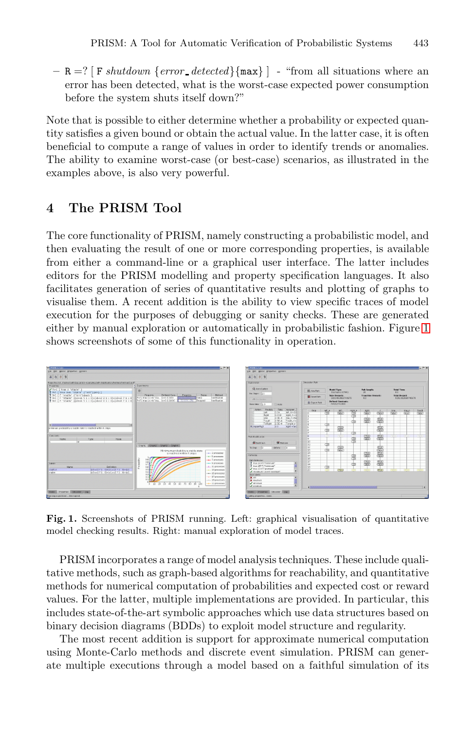**–** R =? [ F shutdown {error detected}{max} ] - "from all situations where an error has been detected, what is the worst-case expected power consumption before the system shuts itself down?"

Note that is possible to either determine whether a probability or expected quantity satisfies a given bound or obtain the actual value. In the latter case, it is often beneficial to compute a range of values in order to identify trends or anomalies. The ability to examine worst-case (or best-case) scenarios, as illustrated in the examples above, is also very powerful.

## **4 The PRISM Tool**

The core functionality of PRISM, namely constructing a pro[ba](#page-2-0)bilistic model, and then evaluating the result of one or more corresponding properties, is available from either a command-line or a graphical user interface. The latter includes editors for the PRISM modelling and property specification languages. It also facilitates generation of series of quantitative results and plotting of graphs to visualise them. A recent addition is the ability to view specific traces of model execution for the purposes of debugging or sanity checks. These are generated either by manual exploration or automatically in probabilistic fashion. Figure 1 shows screenshots of some of this functionality in operation.

<span id="page-2-0"></span>

**Fig. 1.** Screenshots of PRISM running. Left: graphical visualisation of quantitative model checking results. Right: manual exploration of model traces.

PRISM incorporates a range of model analysis techniques. These include qualitative methods, such as graph-based algorithms for reachability, and quantitative methods for numerical computation of probabilities and expected cost or reward values. For the latter, multiple implementations are provided. In particular, this includes state-of-the-art symbolic approaches which use data structures based on binary decision diagrams (BDDs) to exploit model structure and regularity.

The most recent addition is support for approximate numerical computation using Monte-Carlo methods and discrete event simulation. PRISM can generate multiple executions through a model based on a faithful simulation of its